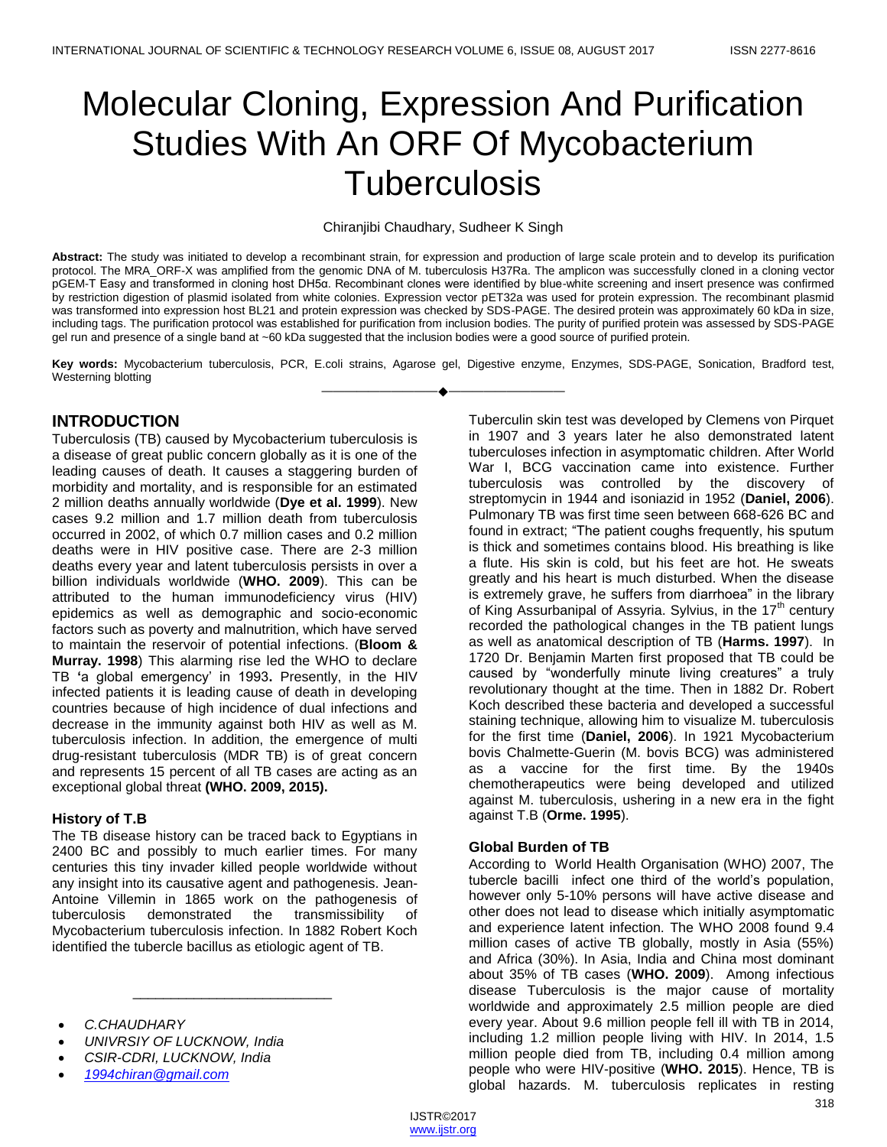# Molecular Cloning, Expression And Purification Studies With An ORF Of Mycobacterium **Tuberculosis**

#### Chiranjibi Chaudhary, Sudheer K Singh

**Abstract:** The study was initiated to develop a recombinant strain, for expression and production of large scale protein and to develop its purification protocol. The MRA\_ORF-X was amplified from the genomic DNA of M. tuberculosis H37Ra. The amplicon was successfully cloned in a cloning vector pGEM-T Easy and transformed in cloning host DH5α. Recombinant clones were identified by blue-white screening and insert presence was confirmed by restriction digestion of plasmid isolated from white colonies. Expression vector pET32a was used for protein expression. The recombinant plasmid was transformed into expression host BL21 and protein expression was checked by SDS-PAGE. The desired protein was approximately 60 kDa in size, including tags. The purification protocol was established for purification from inclusion bodies. The purity of purified protein was assessed by SDS-PAGE gel run and presence of a single band at ~60 kDa suggested that the inclusion bodies were a good source of purified protein.

**Key words:** Mycobacterium tuberculosis, PCR, E.coli strains, Agarose gel, Digestive enzyme, Enzymes, SDS-PAGE, Sonication, Bradford test, Westerning blotting ————————————————————

# **INTRODUCTION**

Tuberculosis (TB) caused by Mycobacterium tuberculosis is a disease of great public concern globally as it is one of the leading causes of death. It causes a staggering burden of morbidity and mortality, and is responsible for an estimated 2 million deaths annually worldwide (**Dye et al. 1999**). New cases 9.2 million and 1.7 million death from tuberculosis occurred in 2002, of which 0.7 million cases and 0.2 million deaths were in HIV positive case. There are 2-3 million deaths every year and latent tuberculosis persists in over a billion individuals worldwide (**WHO. 2009**). This can be attributed to the human immunodeficiency virus (HIV) epidemics as well as demographic and socio-economic factors such as poverty and malnutrition, which have served to maintain the reservoir of potential infections. (**Bloom & Murray. 1998**) This alarming rise led the WHO to declare TB **'**a global emergency' in 1993**.** Presently, in the HIV infected patients it is leading cause of death in developing countries because of high incidence of dual infections and decrease in the immunity against both HIV as well as M. tuberculosis infection. In addition, the emergence of multi drug-resistant tuberculosis (MDR TB) is of great concern and represents 15 percent of all TB cases are acting as an exceptional global threat **(WHO. 2009, 2015).**

## **History of T.B**

The TB disease history can be traced back to Egyptians in 2400 BC and possibly to much earlier times. For many centuries this tiny invader killed people worldwide without any insight into its causative agent and pathogenesis. Jean-Antoine Villemin in 1865 work on the pathogenesis of tuberculosis demonstrated the transmissibility of Mycobacterium tuberculosis infection. In 1882 Robert Koch identified the tubercle bacillus as etiologic agent of TB.

\_\_\_\_\_\_\_\_\_\_\_\_\_\_\_\_\_\_\_\_\_\_\_\_\_\_

- *C.CHAUDHARY*
- *UNIVRSIY OF LUCKNOW, India*
- *CSIR-CDRI, LUCKNOW, India*
- *[1994chiran@gmail.com](mailto:1994chiran@gmail.com)*

Tuberculin skin test was developed by Clemens von Pirquet in 1907 and 3 years later he also demonstrated latent tuberculoses infection in asymptomatic children. After World War I, BCG vaccination came into existence. Further tuberculosis was controlled by the discovery of streptomycin in 1944 and isoniazid in 1952 (**Daniel, 2006**). Pulmonary TB was first time seen between 668-626 BC and found in extract; "The patient coughs frequently, his sputum is thick and sometimes contains blood. His breathing is like a flute. His skin is cold, but his feet are hot. He sweats greatly and his heart is much disturbed. When the disease is extremely grave, he suffers from diarrhoea" in the library of King Assurbanipal of Assyria. Sylvius, in the 17<sup>th</sup> century recorded the pathological changes in the TB patient lungs as well as anatomical description of TB (**Harms. 1997**). In 1720 Dr. Benjamin Marten first proposed that TB could be caused by "wonderfully minute living creatures" a truly revolutionary thought at the time. Then in 1882 Dr. Robert Koch described these bacteria and developed a successful staining technique, allowing him to visualize M. tuberculosis for the first time (**Daniel, 2006**). In 1921 Mycobacterium bovis Chalmette-Guerin (M. bovis BCG) was administered as a vaccine for the first time. By the 1940s chemotherapeutics were being developed and utilized against M. tuberculosis, ushering in a new era in the fight against T.B (**Orme. 1995**).

## **Global Burden of TB**

According to World Health Organisation (WHO) 2007, The tubercle bacilli infect one third of the world's population, however only 5-10% persons will have active disease and other does not lead to disease which initially asymptomatic and experience latent infection. The WHO 2008 found 9.4 million cases of active TB globally, mostly in Asia (55%) and Africa (30%). In Asia, India and China most dominant about 35% of TB cases (**WHO. 2009**). Among infectious disease Tuberculosis is the major cause of mortality worldwide and approximately 2.5 million people are died every year. About 9.6 million people fell ill with TB in 2014, including 1.2 million people living with HIV. In 2014, 1.5 million people died from TB, including 0.4 million among people who were HIV-positive (**WHO. 2015**). Hence, TB is global hazards. M. tuberculosis replicates in resting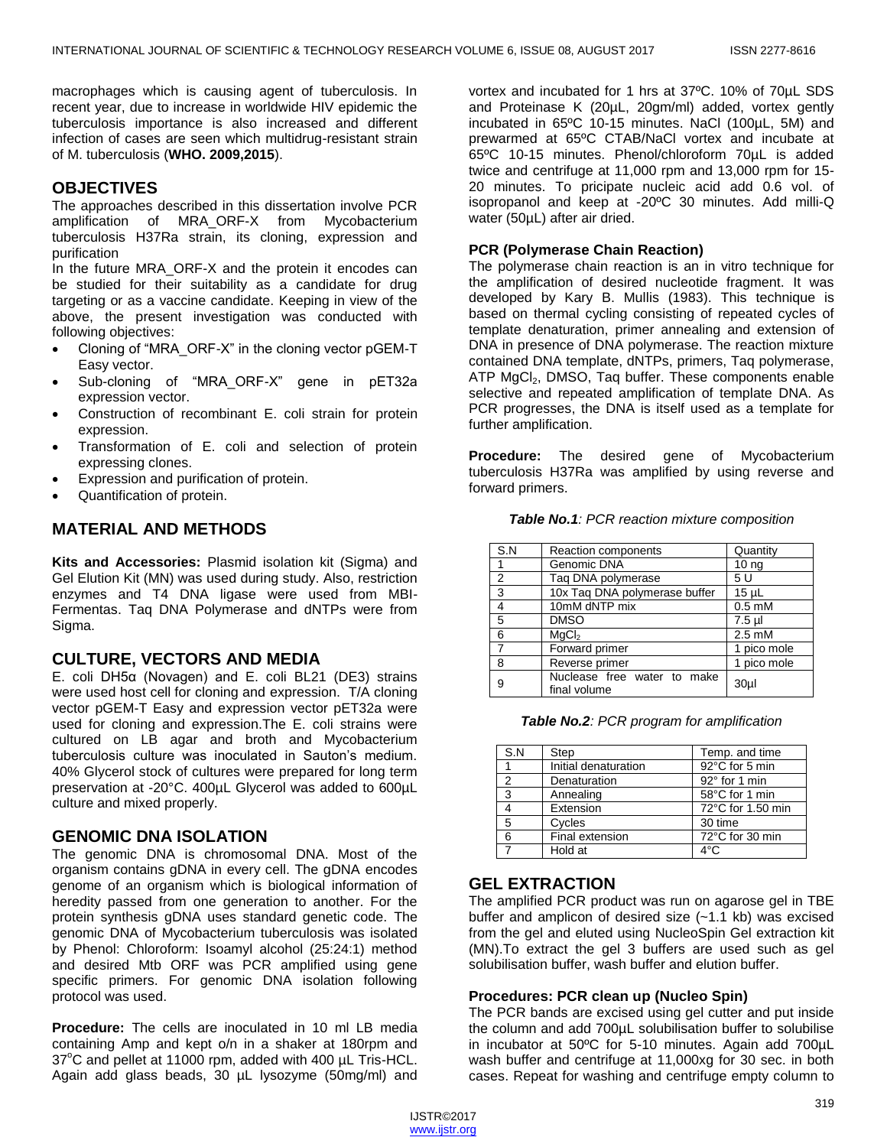macrophages which is causing agent of tuberculosis. In recent year, due to increase in worldwide HIV epidemic the tuberculosis importance is also increased and different infection of cases are seen which multidrug-resistant strain of M. tuberculosis (**WHO. 2009,2015**).

## **OBJECTIVES**

The approaches described in this dissertation involve PCR amplification of MRA\_ORF-X from Mycobacterium tuberculosis H37Ra strain, its cloning, expression and purification

In the future MRA\_ORF-X and the protein it encodes can be studied for their suitability as a candidate for drug targeting or as a vaccine candidate. Keeping in view of the above, the present investigation was conducted with following objectives:

- Cloning of "MRA\_ORF-X" in the cloning vector pGEM-T Easy vector.
- Sub-cloning of "MRA\_ORF-X" gene in pET32a expression vector.
- Construction of recombinant E. coli strain for protein expression.
- Transformation of E. coli and selection of protein expressing clones.
- Expression and purification of protein.
- Quantification of protein.

## **MATERIAL AND METHODS**

**Kits and Accessories:** Plasmid isolation kit (Sigma) and Gel Elution Kit (MN) was used during study. Also, restriction enzymes and T4 DNA ligase were used from MBI-Fermentas. Taq DNA Polymerase and dNTPs were from Sigma.

## **CULTURE, VECTORS AND MEDIA**

E. coli DH5α (Novagen) and E. coli BL21 (DE3) strains were used host cell for cloning and expression. T/A cloning vector pGEM-T Easy and expression vector pET32a were used for cloning and expression.The E. coli strains were cultured on LB agar and broth and Mycobacterium tuberculosis culture was inoculated in Sauton's medium. 40% Glycerol stock of cultures were prepared for long term preservation at -20°C. 400µL Glycerol was added to 600µL culture and mixed properly.

## **GENOMIC DNA ISOLATION**

The genomic DNA is chromosomal DNA. Most of the organism contains gDNA in every cell. The gDNA encodes genome of an organism which is biological information of heredity passed from one generation to another. For the protein synthesis gDNA uses standard genetic code. The genomic DNA of Mycobacterium tuberculosis was isolated by Phenol: Chloroform: Isoamyl alcohol (25:24:1) method and desired Mtb ORF was PCR amplified using gene specific primers. For genomic DNA isolation following protocol was used.

**Procedure:** The cells are inoculated in 10 ml LB media containing Amp and kept o/n in a shaker at 180rpm and  $37^{\circ}$ C and pellet at 11000 rpm, added with 400 µL Tris-HCL. Again add glass beads, 30 µL lysozyme (50mg/ml) and

vortex and incubated for 1 hrs at 37ºC. 10% of 70µL SDS and Proteinase K (20µL, 20gm/ml) added, vortex gently incubated in 65ºC 10-15 minutes. NaCl (100µL, 5M) and prewarmed at 65ºC CTAB/NaCl vortex and incubate at 65ºC 10-15 minutes. Phenol/chloroform 70µL is added twice and centrifuge at 11,000 rpm and 13,000 rpm for 15- 20 minutes. To pricipate nucleic acid add 0.6 vol. of isopropanol and keep at -20ºC 30 minutes. Add milli-Q water (50µL) after air dried.

#### **PCR (Polymerase Chain Reaction)**

The polymerase chain reaction is an in vitro technique for the amplification of desired nucleotide fragment. It was developed by Kary B. Mullis (1983). This technique is based on thermal cycling consisting of repeated cycles of template denaturation, primer annealing and extension of DNA in presence of DNA polymerase. The reaction mixture contained DNA template, dNTPs, primers, Taq polymerase, ATP  $MgCl<sub>2</sub>$ , DMSO, Taq buffer. These components enable selective and repeated amplification of template DNA. As PCR progresses, the DNA is itself used as a template for further amplification.

**Procedure:** The desired gene of Mycobacterium tuberculosis H37Ra was amplified by using reverse and forward primers.

| S.N            | Reaction components                         | Quantity         |
|----------------|---------------------------------------------|------------------|
|                | Genomic DNA                                 | 10 <sub>ng</sub> |
| $\overline{2}$ | Taq DNA polymerase                          | 5 U              |
| 3              | 10x Taq DNA polymerase buffer               | $15 \mu L$       |
| $\overline{4}$ | 10mM dNTP mix                               | $0.5 \text{ mM}$ |
| 5              | <b>DMSO</b>                                 | $7.5$ µl         |
| 6              | MqCl <sub>2</sub>                           | $2.5 \text{ mM}$ |
| $\overline{7}$ | Forward primer                              | 1 pico mole      |
| 8              | Reverse primer                              | 1 pico mole      |
| 9              | Nuclease free water to make<br>final volume | 30 <sub>µ</sub>  |

*Table No.1: PCR reaction mixture composition*

*Table No.2: PCR program for amplification*

| S.N           | Step                 | Temp. and time    |
|---------------|----------------------|-------------------|
|               | Initial denaturation | 92°C for 5 min    |
| $\mathcal{P}$ | Denaturation         | 92° for 1 min     |
| 3             | Annealing            | 58°C for 1 min    |
|               | Extension            | 72°C for 1.50 min |
| 5             | Cycles               | 30 time           |
| 6             | Final extension      | 72°C for 30 min   |
|               | Hold at              | $4^{\circ}$ C     |

## **GEL EXTRACTION**

The amplified PCR product was run on agarose gel in TBE buffer and amplicon of desired size (~1.1 kb) was excised from the gel and eluted using NucleoSpin Gel extraction kit (MN).To extract the gel 3 buffers are used such as gel solubilisation buffer, wash buffer and elution buffer.

#### **Procedures: PCR clean up (Nucleo Spin)**

The PCR bands are excised using gel cutter and put inside the column and add 700µL solubilisation buffer to solubilise in incubator at 50ºC for 5-10 minutes. Again add 700µL wash buffer and centrifuge at 11,000xg for 30 sec. in both cases. Repeat for washing and centrifuge empty column to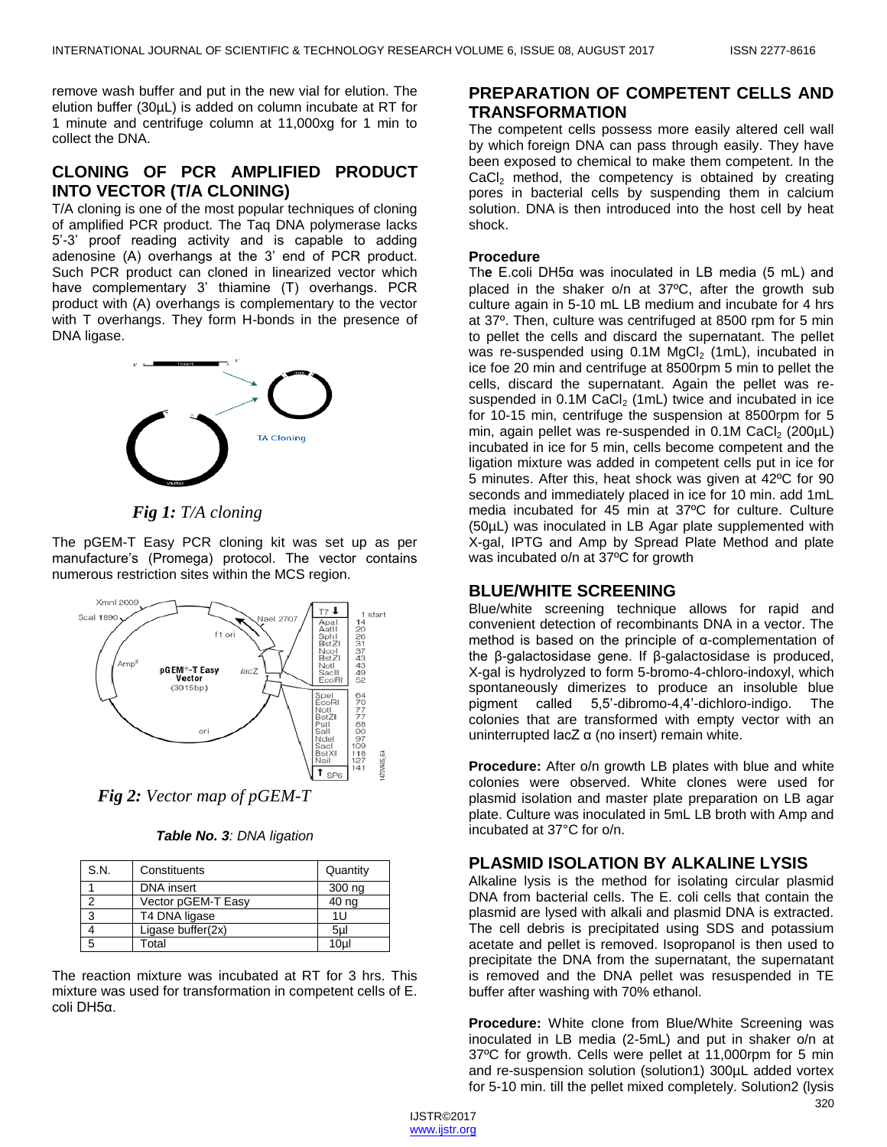remove wash buffer and put in the new vial for elution. The elution buffer (30µL) is added on column incubate at RT for 1 minute and centrifuge column at 11,000xg for 1 min to collect the DNA.

# **CLONING OF PCR AMPLIFIED PRODUCT INTO VECTOR (T/A CLONING)**

T/A cloning is one of the most popular techniques of cloning of amplified PCR product. The Taq DNA polymerase lacks 5'-3' proof reading activity and is capable to adding adenosine (A) overhangs at the 3' end of PCR product. Such PCR product can cloned in linearized vector which have complementary 3' thiamine (T) overhangs. PCR product with (A) overhangs is complementary to the vector with T overhangs. They form H-bonds in the presence of DNA ligase.



## *Fig 1: T/A cloning*

The pGEM-T Easy PCR cloning kit was set up as per manufacture's (Promega) protocol. The vector contains numerous restriction sites within the MCS region.



*Fig 2: Vector map of pGEM-T* 

| S.N. | Constituents       | Quantity        |
|------|--------------------|-----------------|
|      | DNA insert         | 300 ng          |
| 2    | Vector pGEM-T Easy | 40 ng           |
| 3    | T4 DNA ligase      | 1U              |
|      | Ligase buffer(2x)  | 5ul             |
| 5    | Total              | 10 <sub>µ</sub> |

The reaction mixture was incubated at RT for 3 hrs. This mixture was used for transformation in competent cells of E. coli DH5α.

## **PREPARATION OF COMPETENT CELLS AND TRANSFORMATION**

The competent cells possess more easily altered cell wall by which foreign DNA can pass through easily. They have been exposed to chemical to make them competent. In the  $CaCl<sub>2</sub>$  method, the competency is obtained by creating pores in bacterial cells by suspending them in calcium solution. DNA is then introduced into the host cell by heat shock.

#### **Procedure**

Th**e** E.coli DH5α was inoculated in LB media (5 mL) and placed in the shaker o/n at 37ºC, after the growth sub culture again in 5-10 mL LB medium and incubate for 4 hrs at 37º. Then, culture was centrifuged at 8500 rpm for 5 min to pellet the cells and discard the supernatant. The pellet was re-suspended using  $0.1M$  MgCl<sub>2</sub> (1mL), incubated in ice foe 20 min and centrifuge at 8500rpm 5 min to pellet the cells, discard the supernatant. Again the pellet was resuspended in  $0.1M$  CaCl<sub>2</sub> (1mL) twice and incubated in ice for 10-15 min, centrifuge the suspension at 8500rpm for 5 min, again pellet was re-suspended in  $0.1M$  CaCl<sub>2</sub> (200 $\mu$ L) incubated in ice for 5 min, cells become competent and the ligation mixture was added in competent cells put in ice for 5 minutes. After this, heat shock was given at 42ºC for 90 seconds and immediately placed in ice for 10 min. add 1mL media incubated for 45 min at 37ºC for culture. Culture (50µL) was inoculated in LB Agar plate supplemented with X-gal, IPTG and Amp by Spread Plate Method and plate was incubated o/n at 37ºC for growth

# **BLUE/WHITE SCREENING**

Blue/white screening technique allows for rapid and convenient detection of recombinants DNA in a vector. The method is based on the principle of α-complementation of the β-galactosidase gene. If β-galactosidase is produced, X-gal is hydrolyzed to form 5-bromo-4-chloro-indoxyl, which spontaneously dimerizes to produce an insoluble blue pigment called 5,5'-dibromo-4,4'-dichloro-indigo. The colonies that are transformed with empty vector with an uninterrupted lacZ α (no insert) remain white.

**Procedure:** After o/n growth LB plates with blue and white colonies were observed. White clones were used for plasmid isolation and master plate preparation on LB agar plate. Culture was inoculated in 5mL LB broth with Amp and incubated at 37°C for o/n.

## **PLASMID ISOLATION BY ALKALINE LYSIS**

Alkaline lysis is the method for isolating circular plasmid DNA from bacterial cells. The E. coli cells that contain the plasmid are lysed with alkali and plasmid DNA is extracted. The cell debris is precipitated using SDS and potassium acetate and pellet is removed. Isopropanol is then used to precipitate the DNA from the supernatant, the supernatant is removed and the DNA pellet was resuspended in TE buffer after washing with 70% ethanol.

**Procedure:** White clone from Blue/White Screening was inoculated in LB media (2-5mL) and put in shaker o/n at 37ºC for growth. Cells were pellet at 11,000rpm for 5 min and re-suspension solution (solution1) 300µL added vortex for 5-10 min. till the pellet mixed completely. Solution2 (lysis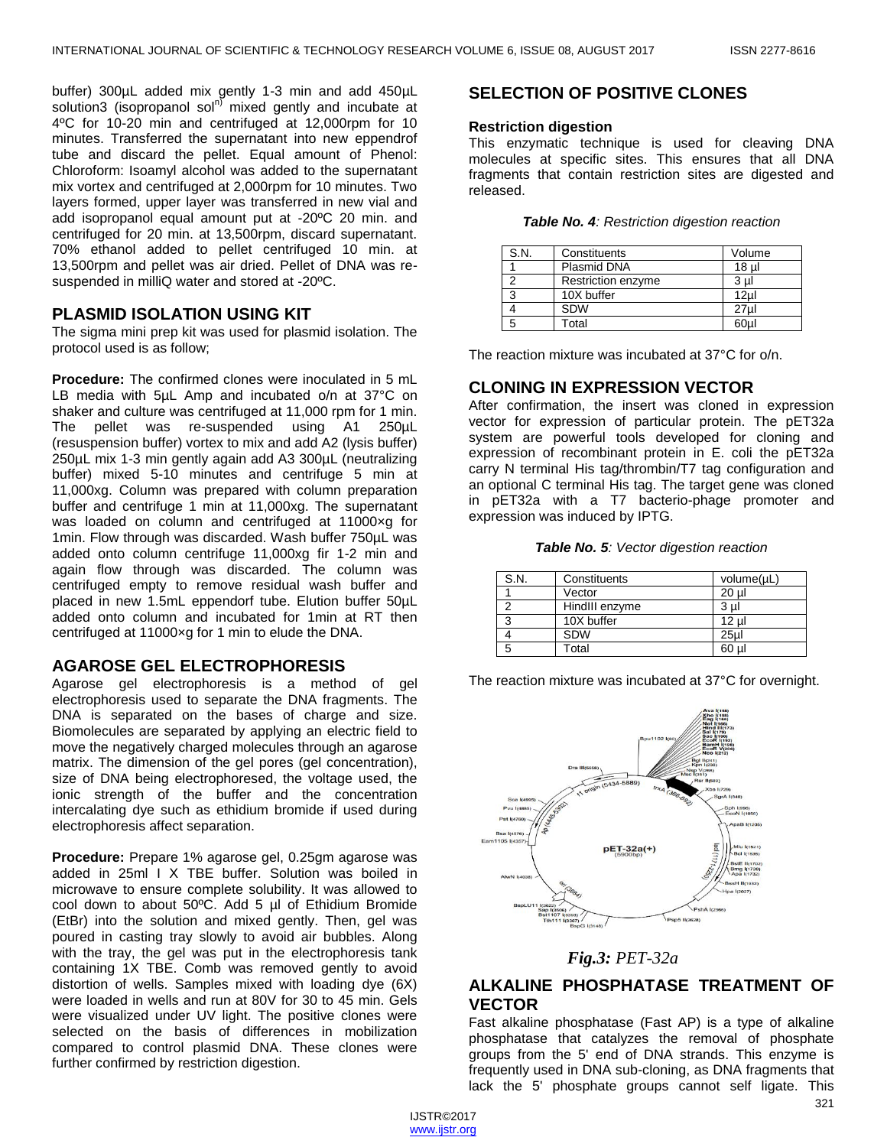buffer) 300µL added mix gently 1-3 min and add 450µL solution3 (isopropanol sol<sup>n)</sup> mixed gently and incubate at 4ºC for 10-20 min and centrifuged at 12,000rpm for 10 minutes. Transferred the supernatant into new eppendrof tube and discard the pellet. Equal amount of Phenol: Chloroform: Isoamyl alcohol was added to the supernatant mix vortex and centrifuged at 2,000rpm for 10 minutes. Two layers formed, upper layer was transferred in new vial and add isopropanol equal amount put at -20ºC 20 min. and centrifuged for 20 min. at 13,500rpm, discard supernatant. 70% ethanol added to pellet centrifuged 10 min. at 13,500rpm and pellet was air dried. Pellet of DNA was resuspended in milliQ water and stored at -20ºC.

## **PLASMID ISOLATION USING KIT**

The sigma mini prep kit was used for plasmid isolation. The protocol used is as follow;

**Procedure:** The confirmed clones were inoculated in 5 mL LB media with 5µL Amp and incubated o/n at 37°C on shaker and culture was centrifuged at 11,000 rpm for 1 min. The pellet was re-suspended using A1 250µL (resuspension buffer) vortex to mix and add A2 (lysis buffer) 250µL mix 1-3 min gently again add A3 300µL (neutralizing buffer) mixed 5-10 minutes and centrifuge 5 min at 11,000xg. Column was prepared with column preparation buffer and centrifuge 1 min at 11,000xg. The supernatant was loaded on column and centrifuged at 11000×g for 1min. Flow through was discarded. Wash buffer 750µL was added onto column centrifuge 11,000xg fir 1-2 min and again flow through was discarded. The column was centrifuged empty to remove residual wash buffer and placed in new 1.5mL eppendorf tube. Elution buffer 50µL added onto column and incubated for 1min at RT then centrifuged at 11000×g for 1 min to elude the DNA.

## **AGAROSE GEL ELECTROPHORESIS**

Agarose gel electrophoresis is a method of gel electrophoresis used to separate the DNA fragments. The DNA is separated on the bases of charge and size. Biomolecules are separated by applying an electric field to move the negatively charged molecules through an agarose matrix. The dimension of the gel pores (gel concentration), size of DNA being electrophoresed, the voltage used, the ionic strength of the buffer and the concentration intercalating dye such as ethidium bromide if used during electrophoresis affect separation.

**Procedure:** Prepare 1% agarose gel, 0.25gm agarose was added in 25ml I X TBE buffer. Solution was boiled in microwave to ensure complete solubility. It was allowed to cool down to about 50ºC. Add 5 µl of Ethidium Bromide (EtBr) into the solution and mixed gently. Then, gel was poured in casting tray slowly to avoid air bubbles. Along with the tray, the gel was put in the electrophoresis tank containing 1X TBE. Comb was removed gently to avoid distortion of wells. Samples mixed with loading dye (6X) were loaded in wells and run at 80V for 30 to 45 min. Gels were visualized under UV light. The positive clones were selected on the basis of differences in mobilization compared to control plasmid DNA. These clones were further confirmed by restriction digestion.

# **SELECTION OF POSITIVE CLONES**

#### **Restriction digestion**

This enzymatic technique is used for cleaving DNA molecules at specific sites. This ensures that all DNA fragments that contain restriction sites are digested and released.

|  |  | Table No. 4: Restriction digestion reaction |  |  |
|--|--|---------------------------------------------|--|--|
|--|--|---------------------------------------------|--|--|

| S.N. | Constituents       | Volume          |
|------|--------------------|-----------------|
|      | Plasmid DNA        | 18 ul           |
|      | Restriction enzyme | 3 ul            |
|      | 10X buffer         | 12 <sub>µ</sub> |
|      | <b>SDW</b>         | 27ul            |
|      | Total              | 60µl            |

The reaction mixture was incubated at 37°C for o/n.

## **CLONING IN EXPRESSION VECTOR**

After confirmation, the insert was cloned in expression vector for expression of particular protein. The pET32a system are powerful tools developed for cloning and expression of recombinant protein in E. coli the pET32a carry N terminal His tag/thrombin/T7 tag configuration and an optional C terminal His tag. The target gene was cloned in pET32a with a T7 bacterio-phage promoter and expression was induced by IPTG.

*Table No. 5: Vector digestion reaction*

| S.N. | Constituents   | volume(µL) |
|------|----------------|------------|
|      | Vector         | 20 ul      |
| 2    | HindIII enzyme | 3 ul       |
| 3    | 10X buffer     | 12 ul      |
|      | <b>SDW</b>     | 25ul       |
| 5    | Total          | 60 ul      |

The reaction mixture was incubated at 37°C for overnight.



*Fig.3: PET-32a*

# **ALKALINE PHOSPHATASE TREATMENT OF VECTOR**

Fast alkaline phosphatase (Fast AP) is a type of alkaline phosphatase that catalyzes the removal of phosphate groups from the 5' end of DNA strands. This enzyme is frequently used in DNA sub-cloning, as DNA fragments that lack the 5' phosphate groups cannot self ligate. This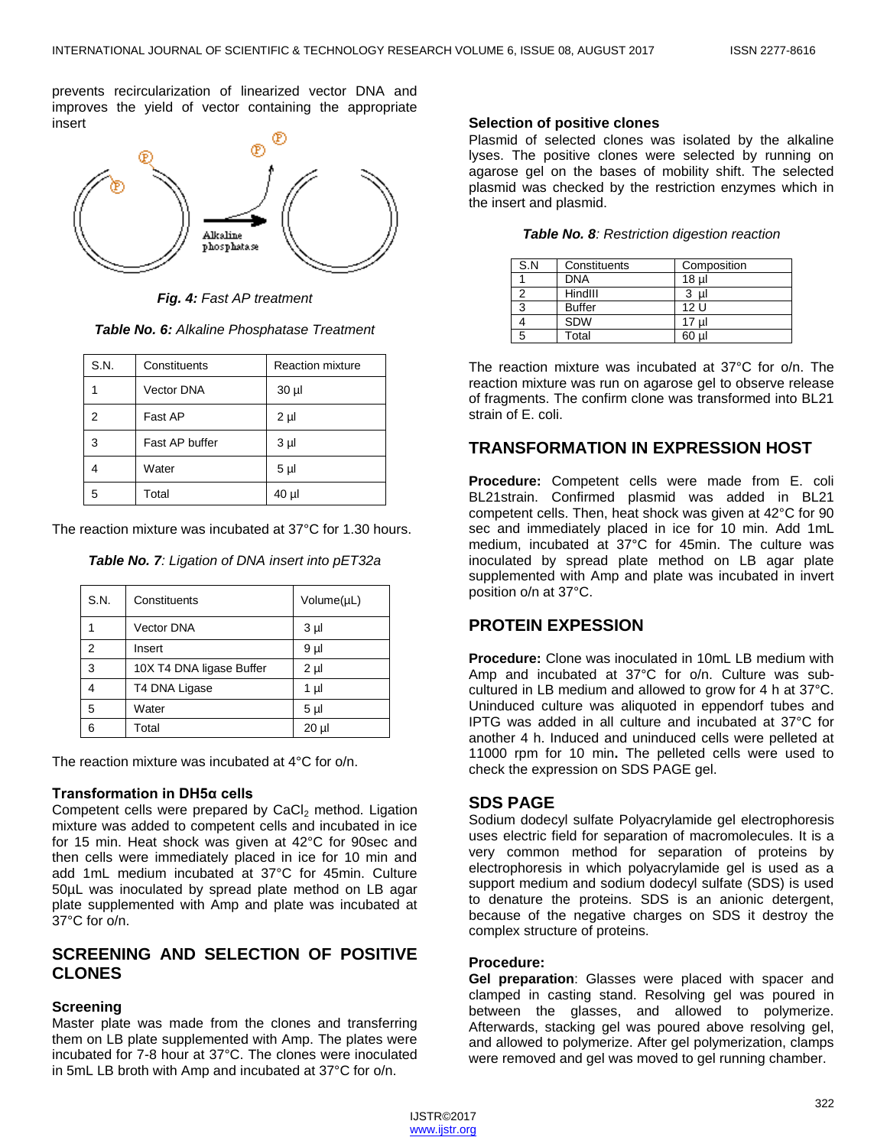prevents recircularization of linearized vector DNA and improves the yield of vector containing the appropriate insert



*Fig. 4: Fast AP treatment*

| S.N. | Constituents      | <b>Reaction mixture</b> |
|------|-------------------|-------------------------|
|      | <b>Vector DNA</b> | $30 \mu$                |
| 2    | Fast AP           | $2 \mu$                 |
| 3    | Fast AP buffer    | 3 <sub>µ</sub>          |
|      | Water             | 5 <sub>µ</sub>          |
| 5    | Total             | $40 \mu$                |

The reaction mixture was incubated at 37°C for 1.30 hours.

*Table No. 7: Ligation of DNA insert into pET32a*

| S.N. | Constituents             | Volume(µL)     |
|------|--------------------------|----------------|
|      | <b>Vector DNA</b>        | 3 <sub>µ</sub> |
| 2    | Insert                   | 9 µl           |
| 3    | 10X T4 DNA ligase Buffer | $2 \mu$        |
| 4    | T4 DNA Ligase            | 1 µl           |
| 5    | Water                    | 5 <sub>µ</sub> |
| 6    | Total                    | $20 \mu$       |

The reaction mixture was incubated at 4°C for o/n.

## **Transformation in DH5α cells**

Competent cells were prepared by CaCl<sub>2</sub> method. Ligation mixture was added to competent cells and incubated in ice for 15 min. Heat shock was given at 42°C for 90sec and then cells were immediately placed in ice for 10 min and add 1mL medium incubated at 37°C for 45min. Culture 50µL was inoculated by spread plate method on LB agar plate supplemented with Amp and plate was incubated at 37°C for o/n.

## **SCREENING AND SELECTION OF POSITIVE CLONES**

## **Screening**

Master plate was made from the clones and transferring them on LB plate supplemented with Amp. The plates were incubated for 7-8 hour at 37°C. The clones were inoculated in 5mL LB broth with Amp and incubated at 37°C for o/n.

## **Selection of positive clones**

Plasmid of selected clones was isolated by the alkaline lyses. The positive clones were selected by running on agarose gel on the bases of mobility shift. The selected plasmid was checked by the restriction enzymes which in the insert and plasmid.

|  | <b>Table No. 8: Restriction digestion reaction</b> |  |
|--|----------------------------------------------------|--|
|  |                                                    |  |

| S.N | Constituents  | Composition     |
|-----|---------------|-----------------|
|     | <b>DNA</b>    | 18 <sub>µ</sub> |
|     | HindIII       | 3<br>-ul        |
| 3   | <b>Buffer</b> | 12 <sub>U</sub> |
|     | <b>SDW</b>    | 17 ul           |
| 5   | Total         | 60 ul           |

The reaction mixture was incubated at 37°C for o/n. The reaction mixture was run on agarose gel to observe release of fragments. The confirm clone was transformed into BL21 strain of E. coli.

# **TRANSFORMATION IN EXPRESSION HOST**

**Procedure:** Competent cells were made from E. coli BL21strain. Confirmed plasmid was added in BL21 competent cells. Then, heat shock was given at 42°C for 90 sec and immediately placed in ice for 10 min. Add 1mL medium, incubated at 37°C for 45min. The culture was inoculated by spread plate method on LB agar plate supplemented with Amp and plate was incubated in invert position o/n at 37°C.

# **PROTEIN EXPESSION**

**Procedure:** Clone was inoculated in 10mL LB medium with Amp and incubated at 37°C for o/n. Culture was subcultured in LB medium and allowed to grow for 4 h at 37°C. Uninduced culture was aliquoted in eppendorf tubes and IPTG was added in all culture and incubated at 37°C for another 4 h. Induced and uninduced cells were pelleted at 11000 rpm for 10 min**.** The pelleted cells were used to check the expression on SDS PAGE gel.

## **SDS PAGE**

Sodium dodecyl sulfate Polyacrylamide gel electrophoresis uses electric field for separation of macromolecules. It is a very common method for separation of proteins by electrophoresis in which polyacrylamide gel is used as a support medium and sodium dodecyl sulfate (SDS) is used to denature the proteins. SDS is an anionic detergent, because of the negative charges on SDS it destroy the complex structure of proteins.

## **Procedure:**

**Gel preparation**: Glasses were placed with spacer and clamped in casting stand. Resolving gel was poured in between the glasses, and allowed to polymerize. Afterwards, stacking gel was poured above resolving gel, and allowed to polymerize. After gel polymerization, clamps were removed and gel was moved to gel running chamber.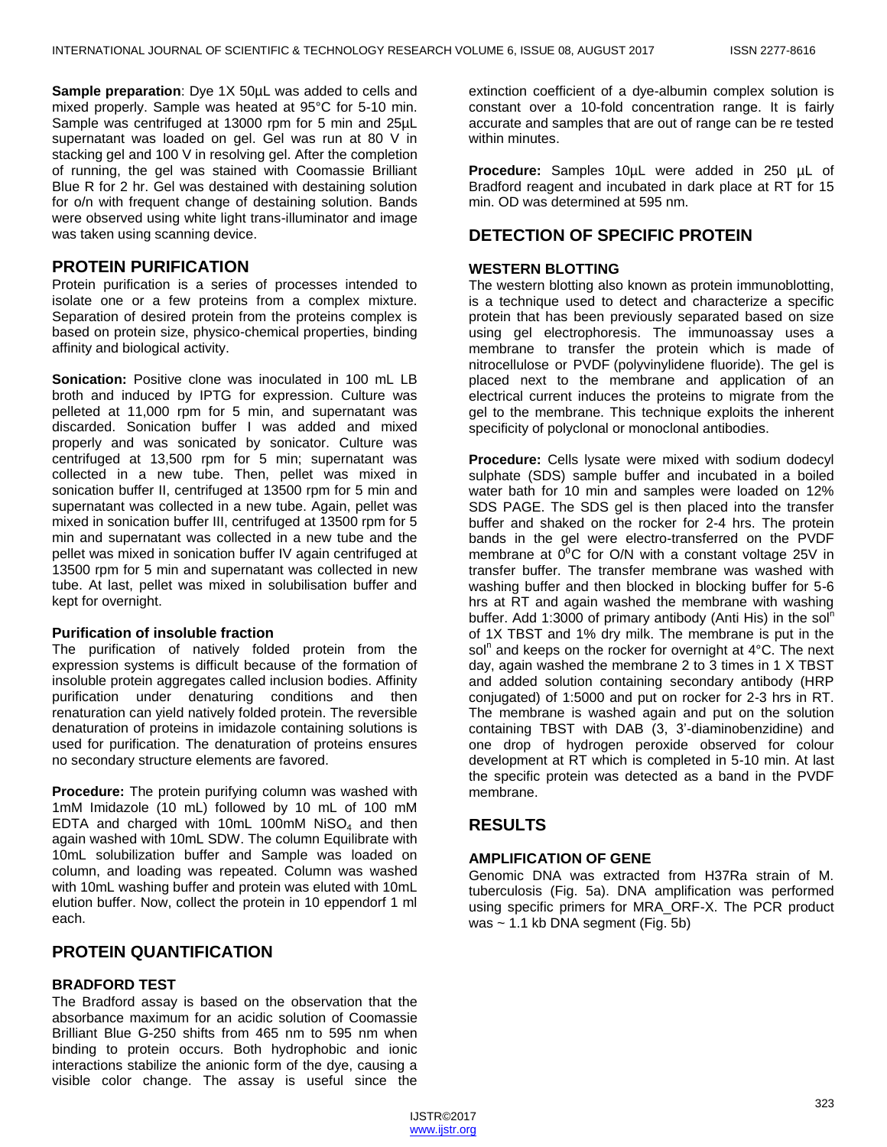**Sample preparation**: Dye 1X 50µL was added to cells and mixed properly. Sample was heated at 95°C for 5-10 min. Sample was centrifuged at 13000 rpm for 5 min and 25uL supernatant was loaded on gel. Gel was run at 80 V in stacking gel and 100 V in resolving gel. After the completion of running, the gel was stained with Coomassie Brilliant Blue R for 2 hr. Gel was destained with destaining solution for o/n with frequent change of destaining solution. Bands were observed using white light trans-illuminator and image was taken using scanning device.

## **PROTEIN PURIFICATION**

Protein purification is a series of processes intended to isolate one or a few proteins from a complex mixture. Separation of desired protein from the proteins complex is based on protein size, physico-chemical properties, binding affinity and biological activity.

**Sonication:** Positive clone was inoculated in 100 mL LB broth and induced by IPTG for expression. Culture was pelleted at 11,000 rpm for 5 min, and supernatant was discarded. Sonication buffer I was added and mixed properly and was sonicated by sonicator. Culture was centrifuged at 13,500 rpm for 5 min; supernatant was collected in a new tube. Then, pellet was mixed in sonication buffer II, centrifuged at 13500 rpm for 5 min and supernatant was collected in a new tube. Again, pellet was mixed in sonication buffer III, centrifuged at 13500 rpm for 5 min and supernatant was collected in a new tube and the pellet was mixed in sonication buffer IV again centrifuged at 13500 rpm for 5 min and supernatant was collected in new tube. At last, pellet was mixed in solubilisation buffer and kept for overnight.

#### **Purification of insoluble fraction**

The purification of natively folded protein from the expression systems is difficult because of the formation of insoluble protein aggregates called inclusion bodies. Affinity purification under denaturing conditions and then renaturation can yield natively folded protein. The reversible denaturation of proteins in imidazole containing solutions is used for purification. The denaturation of proteins ensures no secondary structure elements are favored.

**Procedure:** The protein purifying column was washed with 1mM Imidazole (10 mL) followed by 10 mL of 100 mM EDTA and charged with 10mL 100mM  $Niso<sub>4</sub>$  and then again washed with 10mL SDW. The column Equilibrate with 10mL solubilization buffer and Sample was loaded on column, and loading was repeated. Column was washed with 10mL washing buffer and protein was eluted with 10mL elution buffer. Now, collect the protein in 10 eppendorf 1 ml each.

## **PROTEIN QUANTIFICATION**

#### **BRADFORD TEST**

The Bradford assay is based on the observation that the absorbance maximum for an acidic solution of Coomassie Brilliant Blue G-250 shifts from 465 nm to 595 nm when binding to protein occurs. Both hydrophobic and ionic interactions stabilize the anionic form of the dye, causing a visible color change. The assay is useful since the

extinction coefficient of a dye-albumin complex solution is constant over a 10-fold concentration range. It is fairly accurate and samples that are out of range can be re tested within minutes.

**Procedure:** Samples 10µL were added in 250 µL of Bradford reagent and incubated in dark place at RT for 15 min. OD was determined at 595 nm.

# **DETECTION OF SPECIFIC PROTEIN**

#### **WESTERN BLOTTING**

The western blotting also known as protein immunoblotting, is a technique used to detect and characterize a specific protein that has been previously separated based on size using gel electrophoresis. The immunoassay uses a membrane to transfer the protein which is made of nitrocellulose or PVDF (polyvinylidene fluoride). The gel is placed next to the membrane and application of an electrical current induces the proteins to migrate from the gel to the membrane. This technique exploits the inherent specificity of polyclonal or monoclonal antibodies.

**Procedure:** Cells lysate were mixed with sodium dodecyl sulphate (SDS) sample buffer and incubated in a boiled water bath for 10 min and samples were loaded on 12% SDS PAGE. The SDS gel is then placed into the transfer buffer and shaked on the rocker for 2-4 hrs. The protein bands in the gel were electro-transferred on the PVDF membrane at  $0^0C$  for O/N with a constant voltage 25V in transfer buffer. The transfer membrane was washed with washing buffer and then blocked in blocking buffer for 5-6 hrs at RT and again washed the membrane with washing buffer. Add 1:3000 of primary antibody (Anti His) in the sol<sup>n</sup> of 1X TBST and 1% dry milk. The membrane is put in the sol<sup>n</sup> and keeps on the rocker for overnight at 4°C. The next day, again washed the membrane 2 to 3 times in 1 X TBST and added solution containing secondary antibody (HRP conjugated) of 1:5000 and put on rocker for 2-3 hrs in RT. The membrane is washed again and put on the solution containing TBST with DAB (3, 3'-diaminobenzidine) and one drop of hydrogen peroxide observed for colour development at RT which is completed in 5-10 min. At last the specific protein was detected as a band in the PVDF membrane.

# **RESULTS**

## **AMPLIFICATION OF GENE**

Genomic DNA was extracted from H37Ra strain of M. tuberculosis (Fig. 5a). DNA amplification was performed using specific primers for MRA\_ORF-X. The PCR product was ~ 1.1 kb DNA segment (Fig. 5b)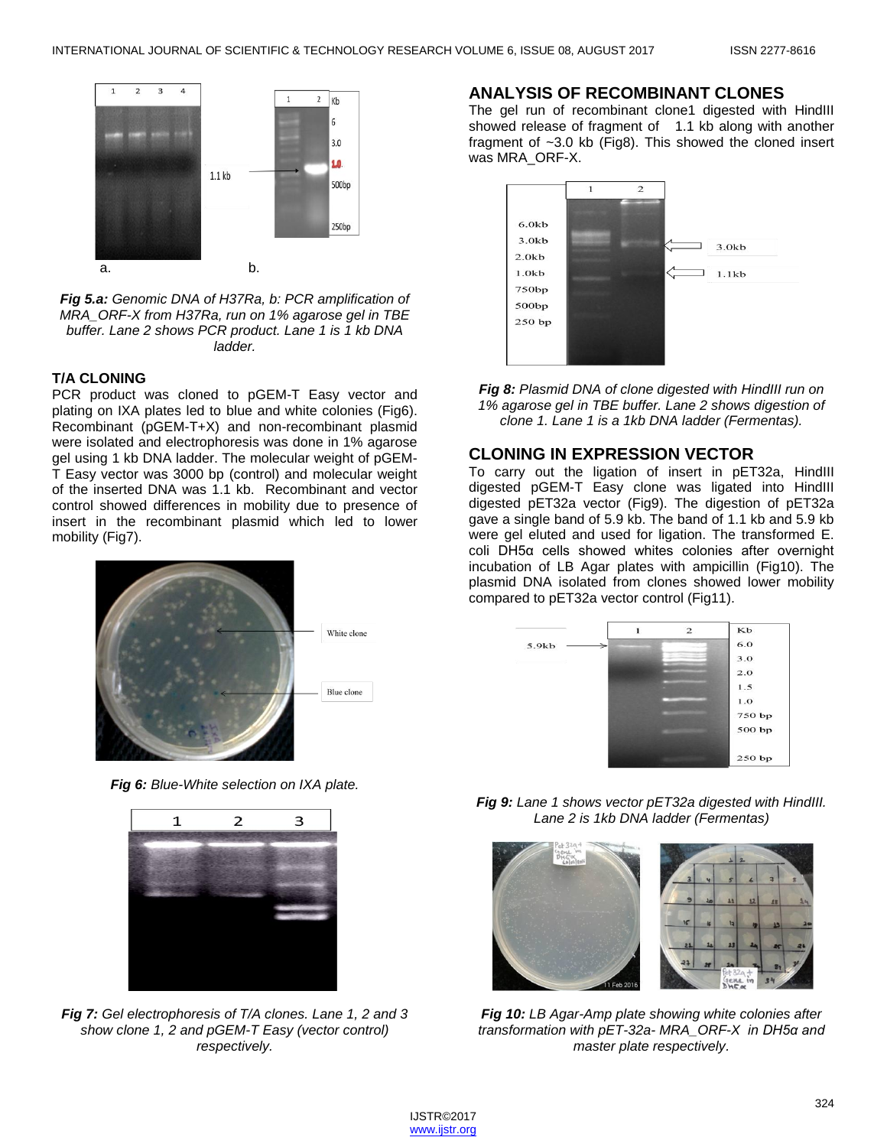

*Fig 5.a: Genomic DNA of H37Ra, b: PCR amplification of MRA\_ORF-X from H37Ra, run on 1% agarose gel in TBE buffer. Lane 2 shows PCR product. Lane 1 is 1 kb DNA ladder.*

#### **T/A CLONING**

PCR product was cloned to pGEM-T Easy vector and plating on IXA plates led to blue and white colonies (Fig6). Recombinant (pGEM-T+X) and non-recombinant plasmid were isolated and electrophoresis was done in 1% agarose gel using 1 kb DNA ladder. The molecular weight of pGEM-T Easy vector was 3000 bp (control) and molecular weight of the inserted DNA was 1.1 kb. Recombinant and vector control showed differences in mobility due to presence of insert in the recombinant plasmid which led to lower mobility (Fig7).



*Fig 6: Blue-White selection on IXA plate.*



*Fig 7: Gel electrophoresis of T/A clones. Lane 1, 2 and 3 show clone 1, 2 and pGEM-T Easy (vector control) respectively.*

#### **ANALYSIS OF RECOMBINANT CLONES**

The gel run of recombinant clone1 digested with HindIII showed release of fragment of 1.1 kb along with another fragment of ~3.0 kb (Fig8). This showed the cloned insert was MRA\_ORF-X.



*Fig 8: Plasmid DNA of clone digested with HindIII run on 1% agarose gel in TBE buffer. Lane 2 shows digestion of clone 1. Lane 1 is a 1kb DNA ladder (Fermentas).*

## **CLONING IN EXPRESSION VECTOR**

To carry out the ligation of insert in pET32a, HindIII digested pGEM-T Easy clone was ligated into HindIII digested pET32a vector (Fig9). The digestion of pET32a gave a single band of 5.9 kb. The band of 1.1 kb and 5.9 kb were gel eluted and used for ligation. The transformed E. coli DH5α cells showed whites colonies after overnight incubation of LB Agar plates with ampicillin (Fig10). The plasmid DNA isolated from clones showed lower mobility compared to pET32a vector control (Fig11).



*Fig 9: Lane 1 shows vector pET32a digested with HindIII. Lane 2 is 1kb DNA ladder (Fermentas)*



*Fig 10: LB Agar-Amp plate showing white colonies after transformation with pET-32a- MRA\_ORF-X in DH5α and master plate respectively.*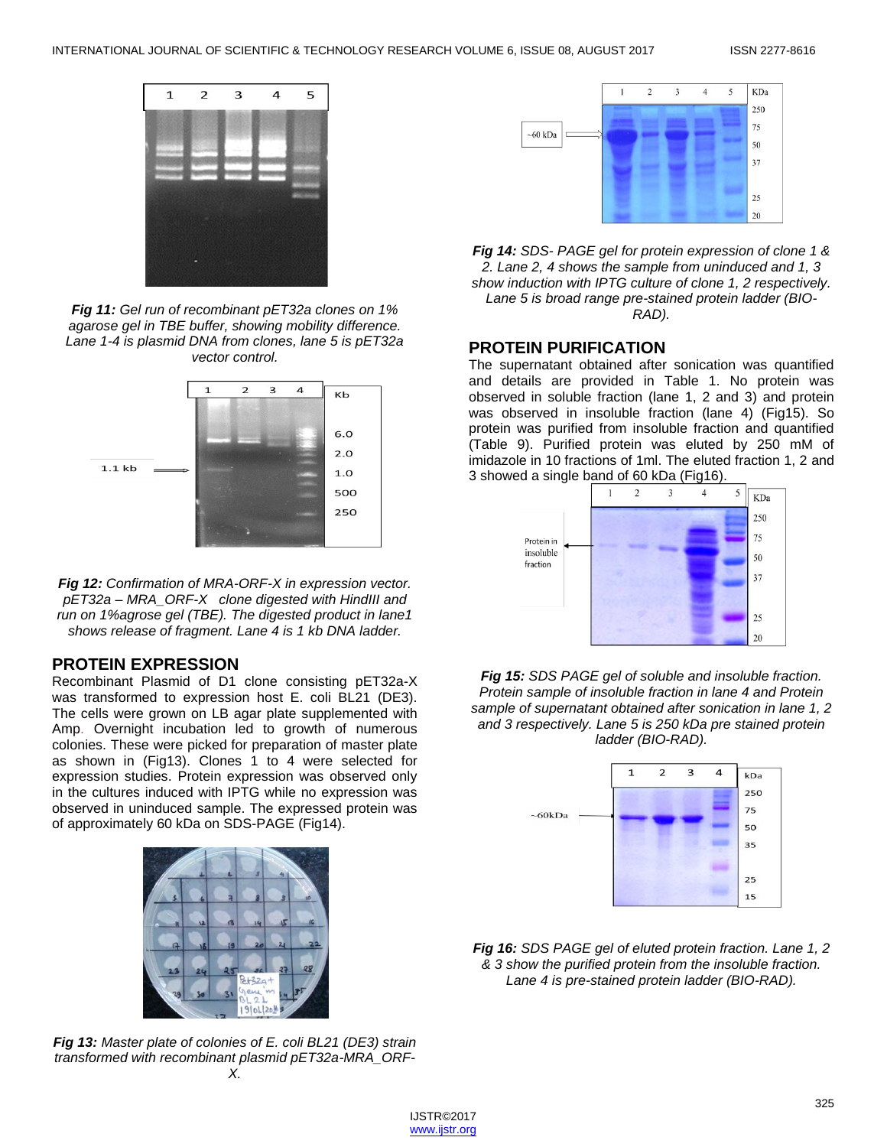

*Fig 11: Gel run of recombinant pET32a clones on 1% agarose gel in TBE buffer, showing mobility difference. Lane 1-4 is plasmid DNA from clones, lane 5 is pET32a vector control.*



*Fig 12: Confirmation of MRA-ORF-X in expression vector. pET32a – MRA\_ORF-X clone digested with HindIII and run on 1%agrose gel (TBE). The digested product in lane1 shows release of fragment. Lane 4 is 1 kb DNA ladder.*

## **PROTEIN EXPRESSION**

Recombinant Plasmid of D1 clone consisting pET32a-X was transformed to expression host E. coli BL21 (DE3). The cells were grown on LB agar plate supplemented with Amp. Overnight incubation led to growth of numerous colonies. These were picked for preparation of master plate as shown in (Fig13). Clones 1 to 4 were selected for expression studies. Protein expression was observed only in the cultures induced with IPTG while no expression was observed in uninduced sample. The expressed protein was of approximately 60 kDa on SDS-PAGE (Fig14).



*Fig 13: Master plate of colonies of E. coli BL21 (DE3) strain transformed with recombinant plasmid pET32a-MRA\_ORF-X.*



*Fig 14: SDS- PAGE gel for protein expression of clone 1 & 2. Lane 2, 4 shows the sample from uninduced and 1, 3 show induction with IPTG culture of clone 1, 2 respectively. Lane 5 is broad range pre-stained protein ladder (BIO-RAD).*

#### **PROTEIN PURIFICATION**

The supernatant obtained after sonication was quantified and details are provided in Table 1. No protein was observed in soluble fraction (lane 1, 2 and 3) and protein was observed in insoluble fraction (lane 4) (Fig15). So protein was purified from insoluble fraction and quantified (Table 9). Purified protein was eluted by 250 mM of imidazole in 10 fractions of 1ml. The eluted fraction 1, 2 and 3 showed a single band of 60 kDa (Fig16).



*Fig 15: SDS PAGE gel of soluble and insoluble fraction. Protein sample of insoluble fraction in lane 4 and Protein sample of supernatant obtained after sonication in lane 1, 2 and 3 respectively. Lane 5 is 250 kDa pre stained protein ladder (BIO-RAD).*



*Fig 16: SDS PAGE gel of eluted protein fraction. Lane 1, 2 & 3 show the purified protein from the insoluble fraction. Lane 4 is pre-stained protein ladder (BIO-RAD).*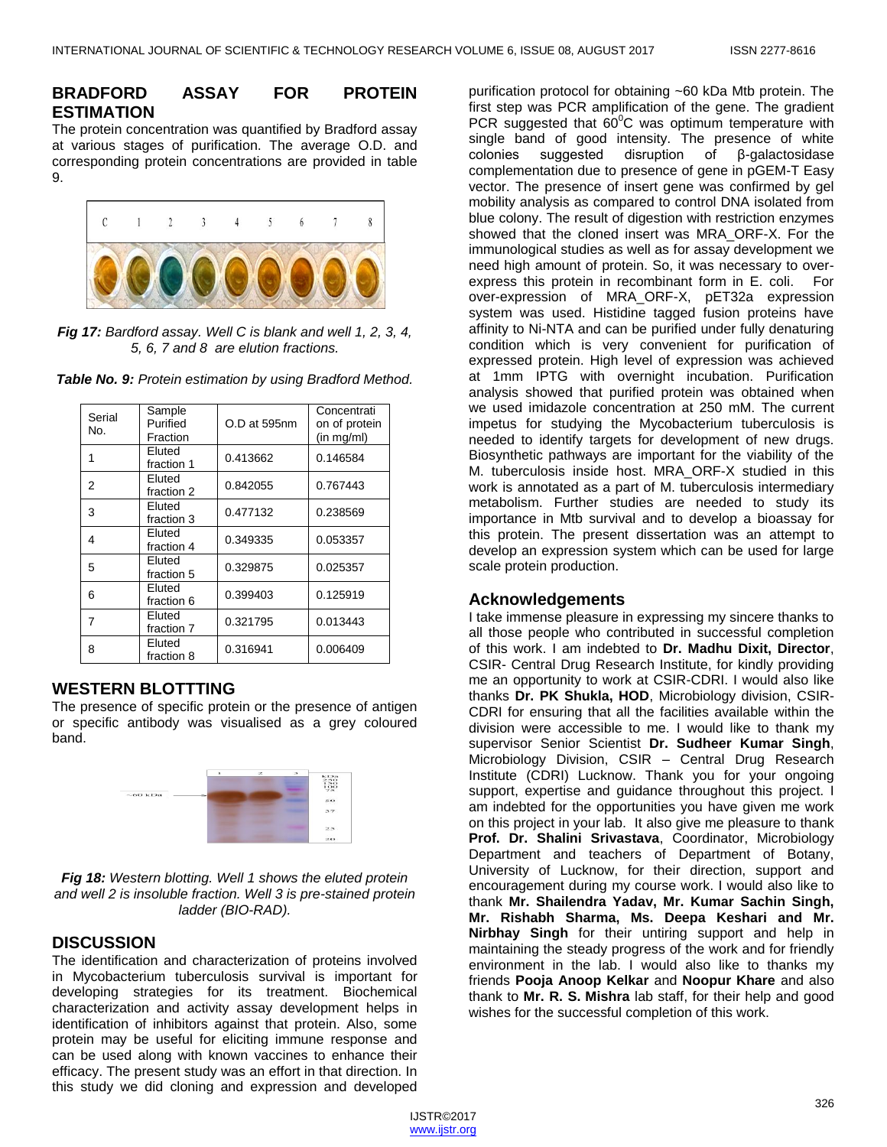# **BRADFORD ASSAY FOR PROTEIN ESTIMATION**

The protein concentration was quantified by Bradford assay at various stages of purification. The average O.D. and corresponding protein concentrations are provided in table 9.



*Fig 17: Bardford assay. Well C is blank and well 1, 2, 3, 4, 5, 6, 7 and 8 are elution fractions.*

| Serial<br>No. | Sample<br>Purified<br>Fraction | O.D at 595nm | Concentrati<br>on of protein<br>(in mg/ml) |
|---------------|--------------------------------|--------------|--------------------------------------------|
| 1             | Eluted<br>fraction 1           | 0.413662     | 0.146584                                   |
| 2             | Eluted<br>fraction 2           | 0.842055     | 0.767443                                   |
| 3             | Eluted<br>fraction 3           | 0.477132     | 0.238569                                   |
| 4             | Eluted<br>fraction 4           | 0.349335     | 0.053357                                   |
| 5             | Eluted<br>fraction 5           | 0.329875     | 0.025357                                   |
| 6             | Eluted<br>fraction 6           | 0.399403     | 0.125919                                   |
| 7             | Eluted<br>fraction 7           | 0.321795     | 0.013443                                   |
| 8             | Eluted<br>fraction 8           | 0.316941     | 0.006409                                   |

*Table No. 9: Protein estimation by using Bradford Method.*

## **WESTERN BLOTTTING**

The presence of specific protein or the presence of antigen or specific antibody was visualised as a grey coloured band.



*Fig 18: Western blotting. Well 1 shows the eluted protein and well 2 is insoluble fraction. Well 3 is pre-stained protein ladder (BIO-RAD).*

## **DISCUSSION**

The identification and characterization of proteins involved in Mycobacterium tuberculosis survival is important for developing strategies for its treatment. Biochemical characterization and activity assay development helps in identification of inhibitors against that protein. Also, some protein may be useful for eliciting immune response and can be used along with known vaccines to enhance their efficacy. The present study was an effort in that direction. In this study we did cloning and expression and developed

purification protocol for obtaining ~60 kDa Mtb protein. The first step was PCR amplification of the gene. The gradient PCR suggested that  $60^{\circ}$ C was optimum temperature with single band of good intensity. The presence of white colonies suggested disruption of β-galactosidase complementation due to presence of gene in pGEM-T Easy vector. The presence of insert gene was confirmed by gel mobility analysis as compared to control DNA isolated from blue colony. The result of digestion with restriction enzymes showed that the cloned insert was MRA\_ORF-X. For the immunological studies as well as for assay development we need high amount of protein. So, it was necessary to overexpress this protein in recombinant form in E. coli. For over-expression of MRA\_ORF-X, pET32a expression system was used. Histidine tagged fusion proteins have affinity to Ni-NTA and can be purified under fully denaturing condition which is very convenient for purification of expressed protein. High level of expression was achieved at 1mm IPTG with overnight incubation. Purification analysis showed that purified protein was obtained when we used imidazole concentration at 250 mM. The current impetus for studying the Mycobacterium tuberculosis is needed to identify targets for development of new drugs. Biosynthetic pathways are important for the viability of the M. tuberculosis inside host. MRA\_ORF-X studied in this work is annotated as a part of M. tuberculosis intermediary metabolism. Further studies are needed to study its importance in Mtb survival and to develop a bioassay for this protein. The present dissertation was an attempt to develop an expression system which can be used for large scale protein production.

## **Acknowledgements**

I take immense pleasure in expressing my sincere thanks to all those people who contributed in successful completion of this work. I am indebted to **Dr. Madhu Dixit, Director**, CSIR- Central Drug Research Institute, for kindly providing me an opportunity to work at CSIR-CDRI. I would also like thanks **Dr. PK Shukla, HOD**, Microbiology division, CSIR-CDRI for ensuring that all the facilities available within the division were accessible to me. I would like to thank my supervisor Senior Scientist **Dr. Sudheer Kumar Singh**, Microbiology Division, CSIR – Central Drug Research Institute (CDRI) Lucknow. Thank you for your ongoing support, expertise and guidance throughout this project. I am indebted for the opportunities you have given me work on this project in your lab. It also give me pleasure to thank **Prof. Dr. Shalini Srivastava**, Coordinator, Microbiology Department and teachers of Department of Botany, University of Lucknow, for their direction, support and encouragement during my course work. I would also like to thank **Mr. Shailendra Yadav, Mr. Kumar Sachin Singh, Mr. Rishabh Sharma, Ms. Deepa Keshari and Mr. Nirbhay Singh** for their untiring support and help in maintaining the steady progress of the work and for friendly environment in the lab. I would also like to thanks my friends **Pooja Anoop Kelkar** and **Noopur Khare** and also thank to **Mr. R. S. Mishra** lab staff, for their help and good wishes for the successful completion of this work.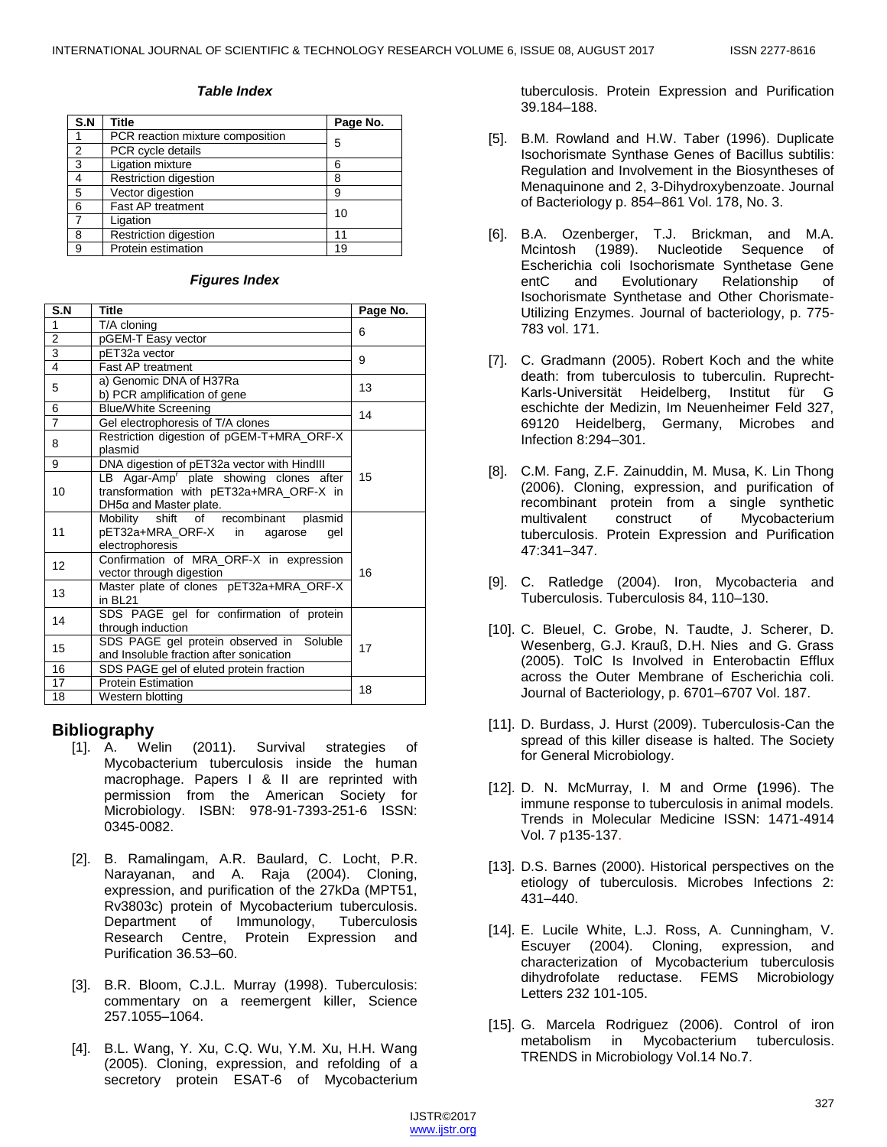#### *Table Index*

| S.N            | Title                            | Page No. |
|----------------|----------------------------------|----------|
|                | PCR reaction mixture composition | 5        |
| $\overline{2}$ | PCR cycle details                |          |
| 3              | Ligation mixture                 | 6        |
| 4              | Restriction digestion            | 8        |
| 5              | Vector digestion                 | 9        |
| 6              | Fast AP treatment                | 10       |
| 7              | Ligation                         |          |
| 8              | Restriction digestion            | 11       |
| 9              | Protein estimation               | 19       |

#### *Figures Index*

| S.N                    | <b>Title</b>                                                                                                                    | Page No. |
|------------------------|---------------------------------------------------------------------------------------------------------------------------------|----------|
| 1                      | T/A cloning                                                                                                                     |          |
| $\overline{2}$         | pGEM-T Easy vector                                                                                                              | 6        |
| 3                      | pET32a vector                                                                                                                   | 9        |
| $\overline{4}$         | <b>Fast AP treatment</b>                                                                                                        |          |
| 5                      | a) Genomic DNA of H37Ra<br>b) PCR amplification of gene                                                                         | 13       |
| 6                      | <b>Blue/White Screening</b>                                                                                                     |          |
| 7                      | Gel electrophoresis of T/A clones                                                                                               | 14       |
| 8                      | Restriction digestion of pGEM-T+MRA ORF-X<br>plasmid                                                                            |          |
| 9                      | DNA digestion of pET32a vector with HindIII                                                                                     |          |
| 10                     | LB Agar-Amp <sup>r</sup> plate showing clones after<br>transformation with pET32a+MRA_ORF-X in<br>$DH5\alpha$ and Master plate. | 15       |
| 11                     | Mobility shift of recombinant plasmid<br>pET32a+MRA_ORF-X in agarose<br>qel<br>electrophoresis                                  |          |
| 12                     | Confirmation of MRA_ORF-X in expression<br>vector through digestion                                                             | 16       |
| 13                     | Master plate of clones pET32a+MRA_ORF-X<br>in BL21                                                                              |          |
| 14                     | SDS PAGE gel for confirmation of protein<br>through induction                                                                   |          |
| 15                     | SDS PAGE gel protein observed in Soluble<br>and Insoluble fraction after sonication                                             | 17       |
| 16                     | SDS PAGE gel of eluted protein fraction                                                                                         |          |
| 17                     | <b>Protein Estimation</b>                                                                                                       | 18       |
| 18<br>Western blotting |                                                                                                                                 |          |

## **Bibliography**

- [1]. A. Welin (2011). Survival strategies of Mycobacterium tuberculosis inside the human macrophage. Papers I & II are reprinted with permission from the American Society for Microbiology. ISBN: 978-91-7393-251-6 ISSN: 0345-0082.
- [2]. B. Ramalingam, A.R. Baulard, C. Locht, P.R. Narayanan, and A. Raja (2004). Cloning, expression, and purification of the 27kDa (MPT51, Rv3803c) protein of Mycobacterium tuberculosis. Department of Immunology, Tuberculosis<br>Research Centre, Protein Expression and Protein Expression and Purification 36.53–60.
- [3]. B.R. Bloom, C.J.L. Murray (1998). Tuberculosis: commentary on a reemergent killer, Science 257.1055–1064.
- [4]. B.L. Wang, Y. Xu, C.Q. Wu, Y.M. Xu, H.H. Wang (2005). Cloning, expression, and refolding of a secretory protein ESAT-6 of Mycobacterium

tuberculosis. Protein Expression and Purification 39.184–188.

- [5]. B.M. Rowland and H.W. Taber (1996). Duplicate Isochorismate Synthase Genes of Bacillus subtilis: Regulation and Involvement in the Biosyntheses of Menaquinone and 2, 3-Dihydroxybenzoate. Journal of Bacteriology p. 854–861 Vol. 178, No. 3.
- [6]. B.A. Ozenberger, T.J. Brickman, and M.A. Mcintosh (1989). Nucleotide Sequence of Escherichia coli Isochorismate Synthetase Gene entC and Evolutionary Relationship of Isochorismate Synthetase and Other Chorismate-Utilizing Enzymes. Journal of bacteriology, p. 775- 783 vol. 171.
- [7]. C. Gradmann (2005). Robert Koch and the white death: from tuberculosis to tuberculin. Ruprecht-Karls-Universität Heidelberg, Institut für G eschichte der Medizin, Im Neuenheimer Feld 327, 69120 Heidelberg, Germany, Microbes and Infection 8:294–301.
- [8]. C.M. Fang, Z.F. Zainuddin, M. Musa, K. Lin Thong (2006). Cloning, expression, and purification of recombinant protein from a single synthetic multivalent construct of Mycobacterium tuberculosis. Protein Expression and Purification 47:341–347.
- [9]. C. Ratledge (2004). Iron, Mycobacteria and Tuberculosis. Tuberculosis 84, 110–130.
- [10]. C. Bleuel, C. Grobe, N. Taudte, J. Scherer, D. Wesenberg, G.J. Krauß, D.H. Nies and G. Grass (2005). TolC Is Involved in Enterobactin Efflux across the Outer Membrane of Escherichia coli. Journal of Bacteriology, p. 6701–6707 Vol. 187.
- [11]. D. Burdass, J. Hurst (2009). Tuberculosis-Can the spread of this killer disease is halted. The Society for General Microbiology.
- [12]. D. N. McMurray, I. M and Orme **(**1996). The immune response to tuberculosis in animal models. Trends in Molecular Medicine ISSN: 1471-4914 Vol. 7 p135-137.
- [13]. D.S. Barnes (2000). Historical perspectives on the etiology of tuberculosis. Microbes Infections 2: 431–440.
- [14]. E. Lucile White, L.J. Ross, A. Cunningham, V. Escuyer (2004). Cloning, expression, and characterization of Mycobacterium tuberculosis dihydrofolate reductase. FEMS Microbiology Letters 232 101-105.
- [15]. G. Marcela Rodriguez (2006). Control of iron metabolism in Mycobacterium tuberculosis. TRENDS in Microbiology Vol.14 No.7.

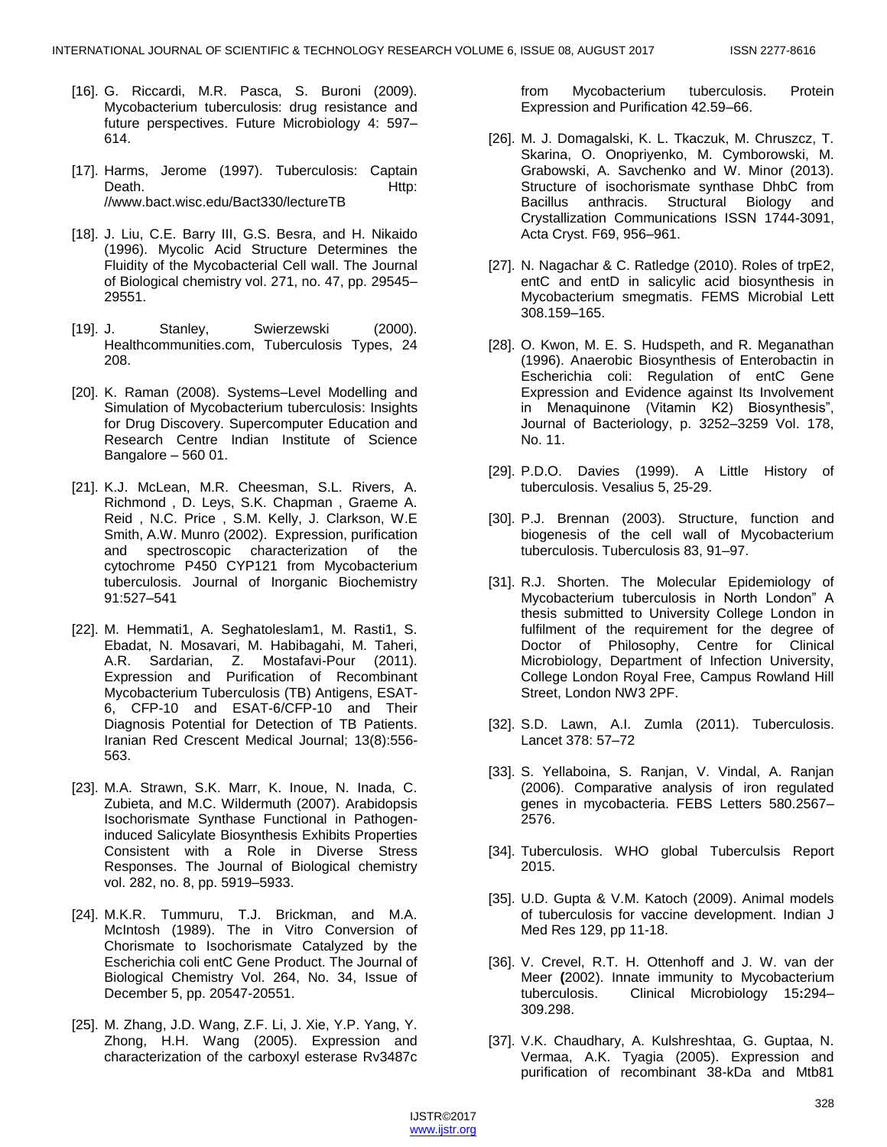- [16]. G. Riccardi, M.R. Pasca, S. Buroni (2009). Mycobacterium tuberculosis: drug resistance and future perspectives. Future Microbiology 4: 597– 614.
- [17]. Harms, Jerome (1997). Tuberculosis: Captain Death. Http: //www.bact.wisc.edu/Bact330/lectureTB
- [18]. J. Liu, C.E. Barry III, G.S. Besra, and H. Nikaido (1996). Mycolic Acid Structure Determines the Fluidity of the Mycobacterial Cell wall. The Journal of Biological chemistry vol. 271, no. 47, pp. 29545– 29551.
- [19]. J. Stanley, Swierzewski (2000). Healthcommunities.com, Tuberculosis Types, 24 208.
- [20]. K. Raman (2008). Systems–Level Modelling and Simulation of Mycobacterium tuberculosis: Insights for Drug Discovery. Supercomputer Education and Research Centre Indian Institute of Science Bangalore – 560 01.
- [21]. K.J. McLean, M.R. Cheesman, S.L. Rivers, A. Richmond , D. Leys, S.K. Chapman , Graeme A. Reid , N.C. Price , S.M. Kelly, J. Clarkson, W.E Smith, A.W. Munro (2002). Expression, purification and spectroscopic characterization of the cytochrome P450 CYP121 from Mycobacterium tuberculosis. Journal of Inorganic Biochemistry 91:527–541
- [22]. M. Hemmati1, A. Seghatoleslam1, M. Rasti1, S. Ebadat, N. Mosavari, M. Habibagahi, M. Taheri, A.R. Sardarian, Z. Mostafavi-Pour (2011). Expression and Purification of Recombinant Mycobacterium Tuberculosis (TB) Antigens, ESAT-6, CFP-10 and ESAT-6/CFP-10 and Their Diagnosis Potential for Detection of TB Patients. Iranian Red Crescent Medical Journal; 13(8):556- 563.
- [23]. M.A. Strawn, S.K. Marr, K. Inoue, N. Inada, C. Zubieta, and M.C. Wildermuth (2007). Arabidopsis Isochorismate Synthase Functional in Pathogeninduced Salicylate Biosynthesis Exhibits Properties Consistent with a Role in Diverse Stress Responses. The Journal of Biological chemistry vol. 282, no. 8, pp. 5919–5933.
- [24]. M.K.R. Tummuru, T.J. Brickman, and M.A. McIntosh (1989). The in Vitro Conversion of Chorismate to Isochorismate Catalyzed by the Escherichia coli entC Gene Product. The Journal of Biological Chemistry Vol. 264, No. 34, Issue of December 5, pp. 20547-20551.
- [25]. M. Zhang, J.D. Wang, Z.F. Li, J. Xie, Y.P. Yang, Y. Zhong, H.H. Wang (2005). Expression and characterization of the carboxyl esterase Rv3487c

from Mycobacterium tuberculosis. Protein Expression and Purification 42.59–66.

- [26]. M. J. Domagalski, K. L. Tkaczuk, M. Chruszcz, T. Skarina, O. Onopriyenko, M. Cymborowski, M. Grabowski, A. Savchenko and W. Minor (2013). Structure of isochorismate synthase DhbC from Bacillus anthracis. Structural Biology and Crystallization Communications ISSN 1744-3091, Acta Cryst. F69, 956–961.
- [27]. N. Nagachar & C. Ratledge (2010). Roles of trpE2, entC and entD in salicylic acid biosynthesis in Mycobacterium smegmatis. FEMS Microbial Lett 308.159–165.
- [28]. O. Kwon, M. E. S. Hudspeth, and R. Meganathan (1996). Anaerobic Biosynthesis of Enterobactin in Escherichia coli: Regulation of entC Gene Expression and Evidence against Its Involvement in Menaquinone (Vitamin K2) Biosynthesis", Journal of Bacteriology, p. 3252–3259 Vol. 178, No. 11.
- [29]. P.D.O. Davies (1999). A Little History of tuberculosis. Vesalius 5, 25-29.
- [30]. P.J. Brennan (2003). Structure, function and biogenesis of the cell wall of Mycobacterium tuberculosis. Tuberculosis 83, 91–97.
- [31]. R.J. Shorten. The Molecular Epidemiology of Mycobacterium tuberculosis in North London" A thesis submitted to University College London in fulfilment of the requirement for the degree of Doctor of Philosophy, Centre for Clinical Microbiology, Department of Infection University, College London Royal Free, Campus Rowland Hill Street, London NW3 2PF.
- [32]. S.D. Lawn, A.I. Zumla (2011). Tuberculosis. Lancet 378: 57–72
- [33]. S. Yellaboina, S. Ranjan, V. Vindal, A. Ranjan (2006). Comparative analysis of iron regulated genes in mycobacteria. FEBS Letters 580.2567– 2576.
- [34]. Tuberculosis. WHO global Tuberculsis Report 2015.
- [35]. U.D. Gupta & V.M. Katoch (2009). Animal models of tuberculosis for vaccine development. Indian J Med Res 129, pp 11-18.
- [36]. V. Crevel, R.T. H. Ottenhoff and J. W. van der Meer **(**2002). Innate immunity to Mycobacterium tuberculosis. Clinical Microbiology 15**:**294– 309.298.
- [37]. V.K. Chaudhary, A. Kulshreshtaa, G. Guptaa, N. Vermaa, A.K. Tyagia (2005). Expression and purification of recombinant 38-kDa and Mtb81

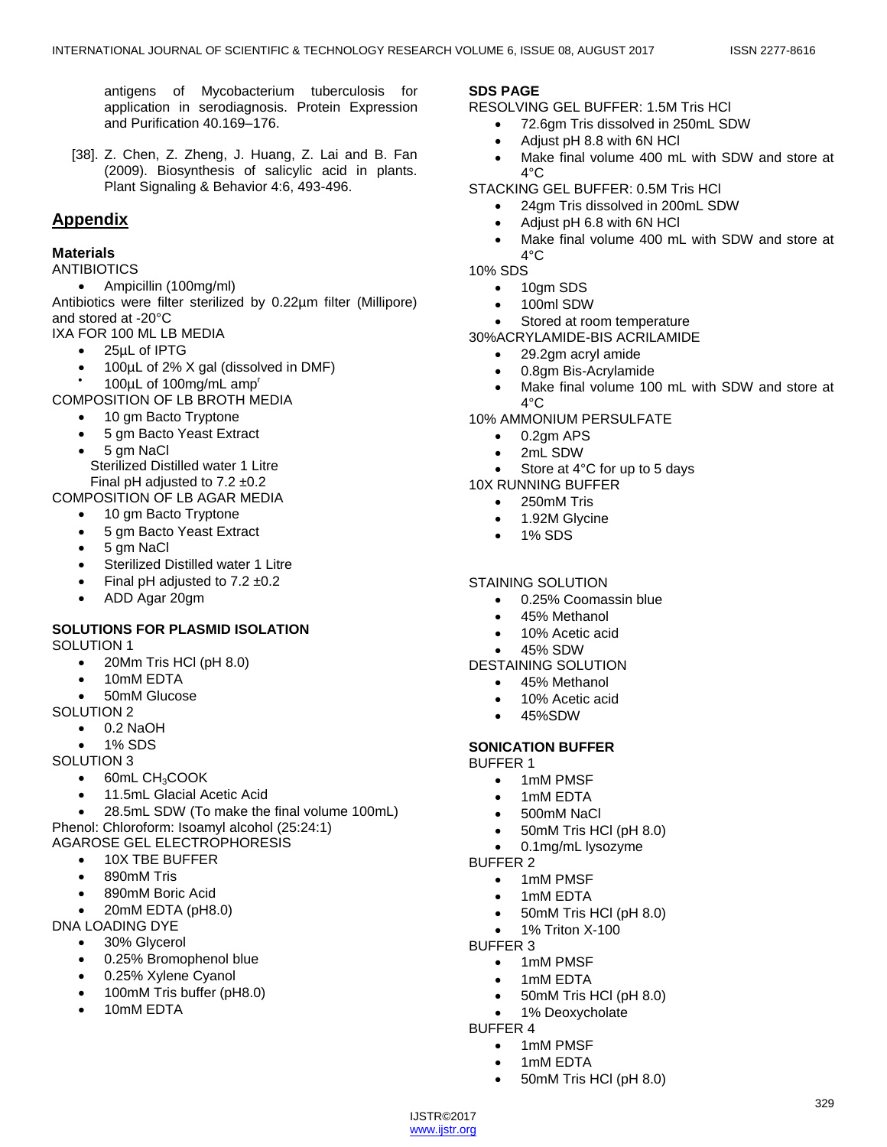329

antigens of Mycobacterium tuberculosis for application in serodiagnosis. Protein Expression and Purification 40.169–176.

[38]. Z. Chen, Z. Zheng, J. Huang, Z. Lai and B. Fan (2009). Biosynthesis of salicylic acid in plants. Plant Signaling & Behavior 4:6, 493-496.

# **Appendix**

#### **Materials**

ANTIBIOTICS

Ampicillin (100mg/ml)

Antibiotics were filter sterilized by 0.22µm filter (Millipore) and stored at -20°C

- IXA FOR 100 ML LB MEDIA
	- 25µL of IPTG
	- 100µL of 2% X gal (dissolved in DMF)
	- $\bullet$ 100µL of 100mg/mL amp<sup>r</sup>

COMPOSITION OF LB BROTH MEDIA

- 10 am Bacto Tryptone
- 5 gm Bacto Yeast Extract
- 5 gm NaCl
- Sterilized Distilled water 1 Litre Final pH adjusted to  $7.2 \pm 0.2$

COMPOSITION OF LB AGAR MEDIA

- 10 gm Bacto Tryptone
- 5 gm Bacto Yeast Extract
- 5 gm NaCl
- Sterilized Distilled water 1 Litre
- Final pH adjusted to  $7.2 \pm 0.2$
- ADD Agar 20gm

## **SOLUTIONS FOR PLASMID ISOLATION**

SOLUTION 1

- 20Mm Tris HCl (pH 8.0)
	- 10mM EDTA
	- 50mM Glucose
- SOLUTION 2
	- $\bullet$  0.2 NaOH
	- 1% SDS

SOLUTION 3

- 60mL CH<sub>3</sub>COOK
- 11.5mL Glacial Acetic Acid
- 28.5mL SDW (To make the final volume 100mL)
- Phenol: Chloroform: Isoamyl alcohol (25:24:1)

# AGAROSE GEL ELECTROPHORESIS

- 10X TBE BUFFER
- 890mM Tris
- 890mM Boric Acid
- 20mM EDTA (pH8.0)
- DNA LOADING DYE
	- 30% Glycerol
	- 0.25% Bromophenol blue
	- 0.25% Xylene Cyanol
	- 100mM Tris buffer (pH8.0)
	- 10mM EDTA

# **SDS PAGE**

- RESOLVING GEL BUFFER: 1.5M Tris HCl
	- 72.6gm Tris dissolved in 250mL SDW
	- Adjust pH 8.8 with 6N HCl
	- Make final volume 400 mL with SDW and store at  $4^\circ$ C
- STACKING GEL BUFFER: 0.5M Tris HCl
	- 24gm Tris dissolved in 200mL SDW
		- Adjust pH 6.8 with 6N HCl
		- Make final volume 400 mL with SDW and store at  $4^{\circ}$ C

10% SDS

- 10gm SDS
- 100ml SDW
- Stored at room temperature

30%ACRYLAMIDE-BIS ACRILAMIDE

- 29.2gm acryl amide
- 0.8gm Bis-Acrylamide
- Make final volume 100 mL with SDW and store at  $4^{\circ}$ C
- 10% AMMONIUM PERSULFATE
	- $\bullet$  0.2gm APS
	- 2mL SDW
	- Store at 4°C for up to 5 days

## 10X RUNNING BUFFER

- 250mM Tris
- 1.92M Glycine
- 1% SDS

## STAINING SOLUTION

- 0.25% Coomassin blue
- 45% Methanol
- 10% Acetic acid
- 45% SDW
- DESTAINING SOLUTION
	- 45% Methanol
	- 10% Acetic acid
	- 45%SDW

## **SONICATION BUFFER**

BUFFER 1

- 1mM PMSF
- 1mM EDTA
- 500mM NaCl
- 50mM Tris HCl (pH 8.0)
- 0.1mg/mL lysozyme BUFFER 2
	- - 1mM PMSF 1mM EDTA
		- 50mM Tris HCl (pH 8.0)
		- 1% Triton X-100
- BUFFER 3
	- 1mM PMSF
	- 1mM EDTA

• 1mM PMSF 1mM EDTA

• 50mM Tris HCl (pH 8.0)

50mM Tris HCl (pH 8.0)

1% Deoxycholate

BUFFER 4

IJSTR©2017 www.ijstr.org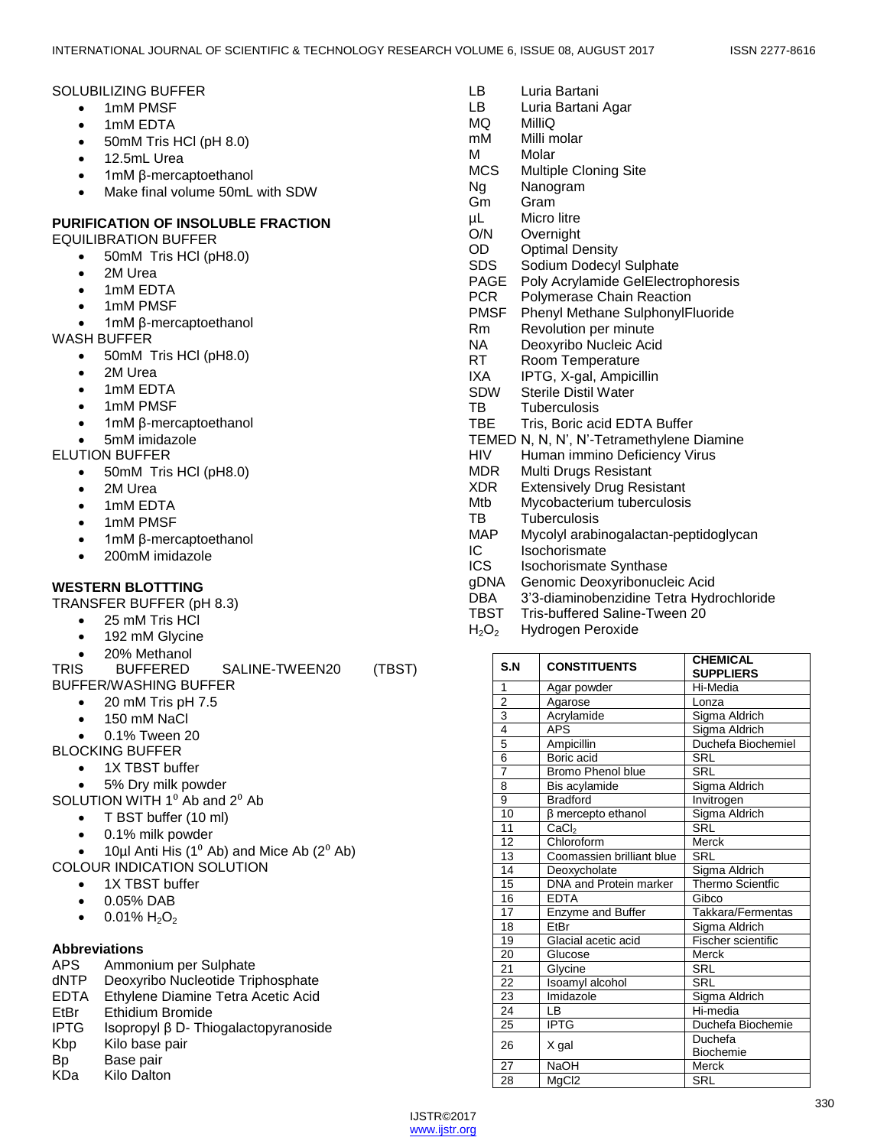#### SOLUBILIZING BUFFER

- 1mM PMSF
- 1mM EDTA
- 50mM Tris HCl (pH 8.0)
- 12.5mL Urea
- 1mM β-mercaptoethanol
- Make final volume 50mL with SDW

## **PURIFICATION OF INSOLUBLE FRACTION**

EQUILIBRATION BUFFER

- 50mM Tris HCI (pH8.0)
- 2M Urea
- 1mM EDTA
- 1mM PMSF
- 1mM β-mercaptoethanol

WASH BUFFER

- 50mM Tris HCI (pH8.0)
- 2M Urea
- 1mM EDTA
- 1mM PMSF
- 1mM β-mercaptoethanol
- 5mM imidazole
- ELUTION BUFFER
	- 50mM Tris HCl (pH8.0)
	- 2M Urea
	- 1mM EDTA
	- 1mM PMSF
	- 1mM β-mercaptoethanol
	- 200mM imidazole

## **WESTERN BLOTTTING**

TRANSFER BUFFER (pH 8.3)

- 25 mM Tris HCl
- 192 mM Glycine
- 20% Methanol

TRIS BUFFERED SALINE-TWEEN20 (TBST) BUFFER/WASHING BUFFER

- $\bullet$  20 mM Tris pH 7.5
- 150 mM NaCl
- 0.1% Tween 20

BLOCKING BUFFER

- 1X TBST buffer
- 5% Dry milk powder

SOLUTION WITH  $1<sup>0</sup>$  Ab and  $2<sup>0</sup>$  Ab

- T BST buffer (10 ml)
- 0.1% milk powder
- 10 $\mu$ I Anti His (1<sup>0</sup> Ab) and Mice Ab (2<sup>0</sup> Ab) COLOUR INDICATION SOLUTION
	- 1X TBST buffer
	- 0.05% DAB
	- $\bullet$  0.01% H<sub>2</sub>O<sub>2</sub>

## **Abbreviations**

- APS Ammonium per Sulphate<br>dNTP Deoxyribo Nucleotide Trip
- Deoxyribo Nucleotide Triphosphate
- EDTA Ethylene Diamine Tetra Acetic Acid
- EtBr Ethidium Bromide
- IPTG Isopropyl β D- Thiogalactopyranoside
- Kbp Kilo base pair
- Bp Base pair
- KDa Kilo Dalton

| rvico      | <b>Multiple Cloning Site</b>              |
|------------|-------------------------------------------|
| Ng         | Nanogram                                  |
| Gm         | Gram                                      |
| μL         | Micro litre                               |
| O/N        | Overnight                                 |
| OD.        | <b>Optimal Density</b>                    |
| SDS        | Sodium Dodecyl Sulphate                   |
| PAGE       | Poly Acrylamide GelElectrophoresis        |
| PCR        | Polymerase Chain Reaction                 |
| PMSF       | Phenyl Methane SulphonylFluoride          |
| Rm         | Revolution per minute                     |
| NA.        | Deoxyribo Nucleic Acid                    |
| RT.        | Room Temperature                          |
| IXA        | IPTG, X-gal, Ampicillin                   |
| SDW        | <b>Sterile Distil Water</b>               |
| TB         | Tuberculosis                              |
| TBE        | Tris, Boric acid EDTA Buffer              |
|            | TEMED N, N, N', N'-Tetramethylene Diamine |
| HIV        | Human immino Deficiency Virus             |
| MDR        | Multi Drugs Resistant                     |
| XDR.       | <b>Extensively Drug Resistant</b>         |
| Mtb        | Mycobacterium tuberculosis                |
| тв         | Tuberculosis                              |
| MAP        | Mycolyl arabinogalactan-peptidoglycan     |
| IC.        | Isochorismate                             |
| <b>ICS</b> | <b>Isochorismate Synthase</b>             |
| gDNA       | Genomic Deoxyribonucleic Acid             |
| DBA        | 3'3-diaminobenzidine Tetra Hydrochloride  |
| TBST       | Tris-buffered Saline-Tween 20             |

H<sub>2</sub>O<sub>2</sub> Hydrogen Peroxide

LB Luria Bartani LB Luria Bartani Agar

Multiple Cloning City

MQ MilliQ mM Milli molar M Molar<br>Molar

| S.N            | <b>CONSTITUENTS</b>           | <b>CHEMICAL</b><br><b>SUPPLIERS</b> |
|----------------|-------------------------------|-------------------------------------|
| 1              | Agar powder                   | Hi-Media                            |
| $\overline{2}$ | Agarose                       | Lonza                               |
| 3              | Acrylamide                    | Sigma Aldrich                       |
| $\overline{4}$ | <b>APS</b>                    | Sigma Aldrich                       |
| 5              | Ampicillin                    | Duchefa Biochemiel                  |
| $\overline{6}$ | Boric acid                    | <b>SRL</b>                          |
| $\overline{7}$ | <b>Bromo Phenol blue</b>      | <b>SRL</b>                          |
| 8              | Bis acylamide                 | Sigma Aldrich                       |
| $\overline{9}$ | <b>Bradford</b>               | Invitrogen                          |
| 10             | $\beta$ mercepto ethanol      | Sigma Aldrich                       |
| 11             | CaCl <sub>2</sub>             | <b>SRL</b>                          |
| 12             | Chloroform                    | Merck                               |
| 13             | Coomassien brilliant blue     | <b>SRL</b>                          |
| 14             | Deoxycholate                  | Sigma Aldrich                       |
| 15             | <b>DNA</b> and Protein marker | <b>Thermo Scientfic</b>             |
| 16             | <b>EDTA</b>                   | Gibco                               |
| 17             | <b>Enzyme and Buffer</b>      | Takkara/Fermentas                   |
| 18             | EtBr                          | Sigma Aldrich                       |
| 19             | Glacial acetic acid           | Fischer scientific                  |
| 20             | Glucose                       | Merck                               |
| 21             | Glycine                       | <b>SRL</b>                          |
| 22             | Isoamyl alcohol               | <b>SRL</b>                          |
| 23             | Imidazole                     | Sigma Aldrich                       |
| 24             | LB                            | Hi-media                            |
| 25             | <b>IPTG</b>                   | Duchefa Biochemie                   |
| 26             |                               | Duchefa                             |
|                | X gal                         | <b>Biochemie</b>                    |
| 27             | <b>NaOH</b>                   | Merck                               |
| 28             | MgC <sub>I2</sub>             | <b>SRL</b>                          |